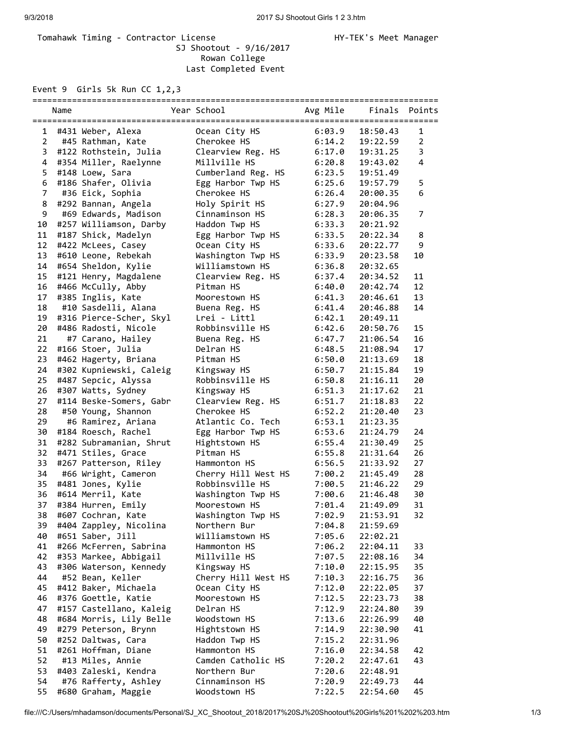## Tomahawk Timing - Contractor License Manager Manager HY-TEK's Meet Manager SJ Shootout - 9/16/2017 Rowan College Last Completed Event

Event 9 Girls 5k Run CC 1,2,3

|                | Name |                                               | Year School                         | Avg Mile         | Finals               | Points         |
|----------------|------|-----------------------------------------------|-------------------------------------|------------------|----------------------|----------------|
| 1              |      | #431 Weber, Alexa                             | Ocean City HS                       | 6:03.9           | 18:50.43             | 1              |
| $\overline{2}$ |      | #45 Rathman, Kate                             | Cherokee HS                         | 6:14.2           | 19:22.59             | $\overline{2}$ |
| 3              |      | #122 Rothstein, Julia                         | Clearview Reg. HS                   | 6:17.0           | 19:31.25             | 3              |
| 4              |      | #354 Miller, Raelynne                         | Millville HS                        | 6:20.8           | 19:43.02             | 4              |
| 5              |      | #148 Loew, Sara                               | Cumberland Reg. HS                  | 6:23.5           | 19:51.49             |                |
| 6              |      | #186 Shafer, Olivia                           | Egg Harbor Twp HS                   | 6:25.6           | 19:57.79             | 5              |
| $\overline{7}$ |      | #36 Eick, Sophia                              | Cherokee HS                         | 6:26.4           | 20:00.35             | 6              |
| 8              |      | #292 Bannan, Angela                           | Holy Spirit HS                      | 6:27.9           | 20:04.96             |                |
| 9              |      | #69 Edwards, Madison                          | Cinnaminson HS                      | 6:28.3           | 20:06.35             | $\overline{7}$ |
| 10             |      | #257 Williamson, Darby                        | Haddon Twp HS                       | 6:33.3           | 20:21.92             |                |
| 11             |      | #187 Shick, Madelyn                           | Egg Harbor Twp HS                   | 6:33.5           | 20:22.34             | 8              |
| 12             |      | #422 McLees, Casey                            | Ocean City HS                       | 6:33.6           | 20:22.77             | 9              |
| 13             |      | #610 Leone, Rebekah                           | Washington Twp HS                   | 6:33.9           | 20:23.58             | 10             |
| 14             |      | #654 Sheldon, Kylie                           | Williamstown HS                     | 6:36.8           | 20:32.65             |                |
| 15             |      | #121 Henry, Magdalene                         | Clearview Reg. HS                   | 6:37.4           | 20:34.52             | 11             |
| 16             |      | #466 McCully, Abby                            | Pitman HS                           | 6:40.0           | 20:42.74             | 12             |
| 17             |      | #385 Inglis, Kate                             | Moorestown HS                       | 6:41.3           | 20:46.61             | 13             |
| 18             |      | #10 Sasdelli, Alana                           | Buena Reg. HS                       | 6:41.4           | 20:46.88             | 14             |
| 19             |      | #316 Pierce-Scher, Skyl                       | Lrei - Littl                        | 6:42.1           | 20:49.11             |                |
| 20             |      | #486 Radosti, Nicole                          | Robbinsville HS                     | 6:42.6           | 20:50.76             | 15             |
| 21             |      | #7 Carano, Hailey                             | Buena Reg. HS                       | 6:47.7           | 21:06.54             | 16             |
| 22             |      | #166 Stoer, Julia                             | Delran HS                           | 6:48.5           | 21:08.94             | 17             |
| 23             |      | #462 Hagerty, Briana                          | Pitman HS                           | 6:50.0           | 21:13.69             | 18             |
| 24             |      | #302 Kupniewski, Caleig                       |                                     | 6:50.7           | 21:15.84             | 19             |
| 25             |      |                                               | Kingsway HS<br>Robbinsville HS      | 6:50.8           | 21:16.11             | 20             |
| 26             |      | #487 Sepcic, Alyssa                           | Kingsway HS                         | 6:51.3           | 21:17.62             | 21             |
| 27             |      | #307 Watts, Sydney<br>#114 Beske-Somers, Gabr | Clearview Reg. HS                   | 6:51.7           | 21:18.83             | 22             |
| 28             |      |                                               | Cherokee HS                         | 6:52.2           | 21:20.40             | 23             |
| 29             |      | #50 Young, Shannon<br>#6 Ramirez, Ariana      | Atlantic Co. Tech                   | 6:53.1           | 21:23.35             |                |
| 30             |      | #184 Roesch, Rachel                           |                                     | 6:53.6           | 21:24.79             | 24             |
| 31             |      | #282 Subramanian, Shrut                       | Egg Harbor Twp HS<br>Hightstown HS  | 6:55.4           | 21:30.49             | 25             |
| 32             |      | #471 Stiles, Grace                            | Pitman HS                           | 6:55.8           | 21:31.64             | 26             |
| 33             |      |                                               |                                     |                  |                      | 27             |
| 34             |      | #267 Patterson, Riley                         | Hammonton HS<br>Cherry Hill West HS | 6:56.5           | 21:33.92             | 28             |
| 35             |      | #66 Wright, Cameron                           | Robbinsville HS                     | 7:00.2<br>7:00.5 | 21:45.49<br>21:46.22 | 29             |
| 36             |      | #481 Jones, Kylie                             |                                     |                  |                      | 30             |
| 37             |      | #614 Merril, Kate<br>#384 Hurren, Emily       | Washington Twp HS<br>Moorestown HS  | 7:00.6<br>7:01.4 | 21:46.48             | 31             |
|                |      | #607 Cochran, Kate                            | Washington Twp HS                   | 7:02.9           | 21:49.09<br>21:53.91 | 32             |
| 38<br>39       |      | #404 Zappley, Nicolina                        | Northern Bur                        | 7:04.8           | 21:59.69             |                |
| 40             |      | #651 Saber, Jill                              | Williamstown HS                     | 7:05.6           | 22:02.21             |                |
| 41             |      | #266 McFerren, Sabrina                        | Hammonton HS                        | 7:06.2           | 22:04.11             | 33             |
| 42             |      | #353 Markee, Abbigail                         | Millville HS                        | 7:07.5           | 22:08.16             | 34             |
| 43             |      | #306 Waterson, Kennedy                        | Kingsway HS                         | 7:10.0           | 22:15.95             | 35             |
| 44             |      | #52 Bean, Keller                              | Cherry Hill West HS                 | 7:10.3           | 22:16.75             | 36             |
| 45             |      | #412 Baker, Michaela                          | Ocean City HS                       | 7:12.0           |                      | 37             |
| 46             |      | #376 Goettle, Katie                           | Moorestown HS                       | 7:12.5           | 22:22.05<br>22:23.73 | 38             |
| 47             |      | #157 Castellano, Kaleig                       | Delran HS                           | 7:12.9           |                      | 39             |
| 48             |      | #684 Morris, Lily Belle                       | Woodstown HS                        | 7:13.6           | 22:24.80<br>22:26.99 | 40             |
| 49             |      | #279 Peterson, Brynn                          | Hightstown HS                       |                  |                      | 41             |
| 50             |      | #252 Daltwas, Cara                            | Haddon Twp HS                       | 7:14.9<br>7:15.2 | 22:30.90<br>22:31.96 |                |
| 51             |      | #261 Hoffman, Diane                           | Hammonton HS                        | 7:16.0           | 22:34.58             | 42             |
| 52             |      | #13 Miles, Annie                              | Camden Catholic HS                  | 7:20.2           | 22:47.61             | 43             |
| 53             |      | #403 Zaleski, Kendra                          | Northern Bur                        |                  | 22:48.91             |                |
| 54             |      | #76 Rafferty, Ashley                          | Cinnaminson HS                      | 7:20.6<br>7:20.9 | 22:49.73             | 44             |
| 55             |      | #680 Graham, Maggie                           | Woodstown HS                        | 7:22.5           | 22:54.60             | 45             |
|                |      |                                               |                                     |                  |                      |                |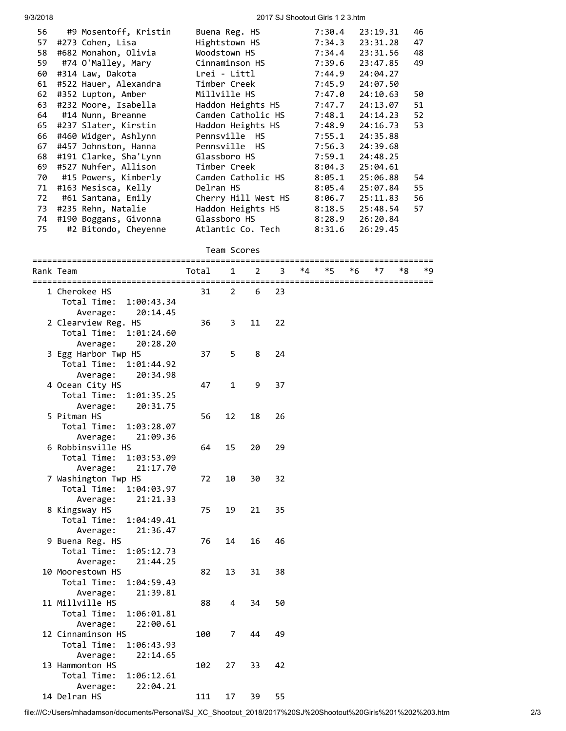## 9/3/2018 2017 SJ Shootout Girls 1 2 3.htm

| 56 | #9 Mosentoff, Kristin | Buena Reg. HS       | 7:30.4 | 23:19.31 | 46 |
|----|-----------------------|---------------------|--------|----------|----|
| 57 | #273 Cohen, Lisa      | Hightstown HS       | 7:34.3 | 23:31.28 | 47 |
| 58 | #682 Monahon, Olivia  | Woodstown HS        | 7:34.4 | 23:31.56 | 48 |
| 59 | #74 O'Malley, Mary    | Cinnaminson HS      | 7:39.6 | 23:47.85 | 49 |
| 60 | #314 Law, Dakota      | Lrei - Littl        | 7:44.9 | 24:04.27 |    |
| 61 | #522 Hauer, Alexandra | Timber Creek        | 7:45.9 | 24:07.50 |    |
| 62 | #352 Lupton, Amber    | Millville HS        | 7:47.0 | 24:10.63 | 50 |
| 63 | #232 Moore, Isabella  | Haddon Heights HS   | 7:47.7 | 24:13.07 | 51 |
| 64 | #14 Nunn, Breanne     | Camden Catholic HS  | 7:48.1 | 24:14.23 | 52 |
| 65 | #237 Slater, Kirstin  | Haddon Heights HS   | 7:48.9 | 24:16.73 | 53 |
| 66 | #460 Widger, Ashlynn  | Pennsville HS       | 7:55.1 | 24:35.88 |    |
| 67 | #457 Johnston, Hanna  | Pennsville HS       | 7:56.3 | 24:39.68 |    |
| 68 | #191 Clarke, Sha'Lynn | Glassboro HS        | 7:59.1 | 24:48.25 |    |
| 69 | #527 Nuhfer, Allison  | Timber Creek        | 8:04.3 | 25:04.61 |    |
| 70 | #15 Powers, Kimberly  | Camden Catholic HS  | 8:05.1 | 25:06.88 | 54 |
| 71 | #163 Mesisca, Kelly   | Delran HS           | 8:05.4 | 25:07.84 | 55 |
| 72 | #61 Santana, Emily    | Cherry Hill West HS | 8:06.7 | 25:11.83 | 56 |
| 73 | #235 Rehn, Natalie    | Haddon Heights HS   | 8:18.5 | 25:48.54 | 57 |
| 74 | #190 Boggans, Givonna | Glassboro HS        | 8:28.9 | 26:20.84 |    |
| 75 | #2 Bitondo, Cheyenne  | Atlantic Co. Tech   | 8:31.6 | 26:29.45 |    |
|    |                       |                     |        |          |    |

## Team Scores

| Rank Team                                       | Total | 1  | 2  | 3  | *4 | *5 | *6 | $*7$ | *8 | *9 |
|-------------------------------------------------|-------|----|----|----|----|----|----|------|----|----|
| ------------------------------<br>1 Cherokee HS | 31    | 2  | 6  | 23 |    |    |    |      |    |    |
| Total Time:<br>1:00:43.34                       |       |    |    |    |    |    |    |      |    |    |
| Average:<br>20:14.45                            |       |    |    |    |    |    |    |      |    |    |
| 2 Clearview Reg. HS                             | 36    | 3  | 11 | 22 |    |    |    |      |    |    |
| Total Time:<br>1:01:24.60                       |       |    |    |    |    |    |    |      |    |    |
| Average:<br>20:28.20                            |       |    |    |    |    |    |    |      |    |    |
| 3 Egg Harbor Twp HS                             | 37    | 5  | 8  | 24 |    |    |    |      |    |    |
| Total Time:<br>1:01:44.92                       |       |    |    |    |    |    |    |      |    |    |
| Average:<br>20:34.98                            |       |    |    |    |    |    |    |      |    |    |
| 4 Ocean City HS                                 | 47    | 1  | 9  | 37 |    |    |    |      |    |    |
| Total Time:<br>1:01:35.25                       |       |    |    |    |    |    |    |      |    |    |
| 20:31.75<br>Average:                            |       |    |    |    |    |    |    |      |    |    |
| 5 Pitman HS                                     | 56    | 12 | 18 | 26 |    |    |    |      |    |    |
| Total Time:<br>1:03:28.07                       |       |    |    |    |    |    |    |      |    |    |
| 21:09.36<br>Average:                            |       |    |    |    |    |    |    |      |    |    |
| 6 Robbinsville HS                               | 64    | 15 | 20 | 29 |    |    |    |      |    |    |
| Total Time:<br>1:03:53.09                       |       |    |    |    |    |    |    |      |    |    |
| Average:<br>21:17.70                            |       |    |    |    |    |    |    |      |    |    |
| 7 Washington Twp HS                             | 72    | 10 | 30 | 32 |    |    |    |      |    |    |
| Total Time:<br>1:04:03.97                       |       |    |    |    |    |    |    |      |    |    |
| 21:21.33<br>Average:                            |       |    |    |    |    |    |    |      |    |    |
| 8 Kingsway HS                                   | 75    | 19 | 21 | 35 |    |    |    |      |    |    |
| Total Time:<br>1:04:49.41                       |       |    |    |    |    |    |    |      |    |    |
| Average:<br>21:36.47                            |       |    |    |    |    |    |    |      |    |    |
| 9 Buena Reg. HS                                 | 76    | 14 | 16 | 46 |    |    |    |      |    |    |
| Total Time:<br>1:05:12.73                       |       |    |    |    |    |    |    |      |    |    |
| Average:<br>21:44.25                            |       |    |    |    |    |    |    |      |    |    |
| 10 Moorestown HS                                | 82    | 13 | 31 | 38 |    |    |    |      |    |    |
| Total Time:<br>1:04:59.43                       |       |    |    |    |    |    |    |      |    |    |
| 21:39.81<br>Average:                            |       |    |    |    |    |    |    |      |    |    |
| 11 Millville HS                                 | 88    | 4  | 34 | 50 |    |    |    |      |    |    |
| Total Time:<br>1:06:01.81                       |       |    |    |    |    |    |    |      |    |    |
| Average:<br>22:00.61                            |       |    |    |    |    |    |    |      |    |    |
| 12 Cinnaminson HS                               | 100   | 7  | 44 | 49 |    |    |    |      |    |    |
| Total Time:<br>1:06:43.93                       |       |    |    |    |    |    |    |      |    |    |
| 22:14.65<br>Average:                            |       |    |    |    |    |    |    |      |    |    |
| 13 Hammonton HS                                 | 102   | 27 | 33 | 42 |    |    |    |      |    |    |
| Total Time:<br>1:06:12.61                       |       |    |    |    |    |    |    |      |    |    |
| 22:04.21<br>Average:                            |       |    |    |    |    |    |    |      |    |    |
| 14 Delran HS                                    | 111   | 17 | 39 | 55 |    |    |    |      |    |    |